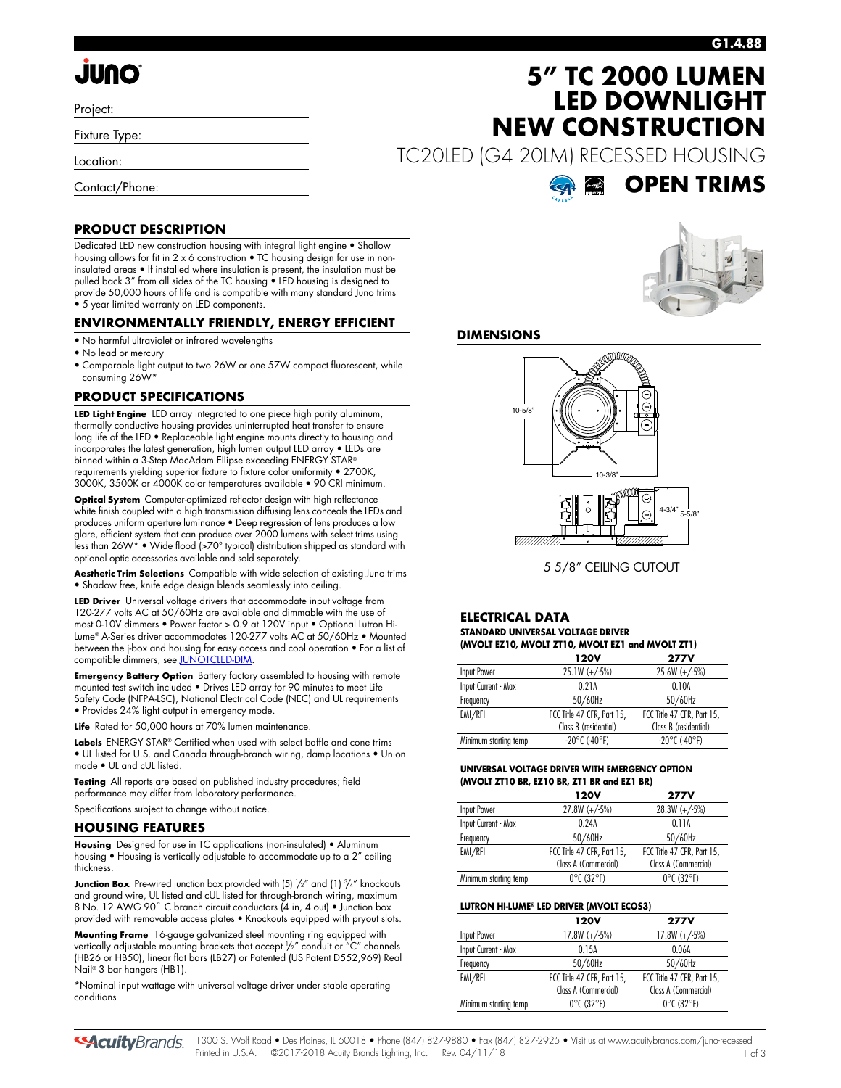### **G1.4.88**

# **JUNO**

Project:

Fixture Type:

Location:

Contact/Phone:

### **PRODUCT DESCRIPTION**

Dedicated LED new construction housing with integral light engine • Shallow housing allows for fit in 2 x 6 construction • TC housing design for use in noninsulated areas • If installed where insulation is present, the insulation must be pulled back 3" from all sides of the TC housing • LED housing is designed to provide 50,000 hours of life and is compatible with many standard Juno trims • 5 year limited warranty on LED components.

### **ENVIRONMENTALLY FRIENDLY, ENERGY EFFICIENT**

- No harmful ultraviolet or infrared wavelengths
- No lead or mercury
- Comparable light output to two 26W or one 57W compact fluorescent, while consuming 26W\*

### **PRODUCT SPECIFICATIONS**

**LED Light Engine** LED array integrated to one piece high purity aluminum, thermally conductive housing provides uninterrupted heat transfer to ensure long life of the LED • Replaceable light engine mounts directly to housing and incorporates the latest generation, high lumen output LED array • LEDs are binned within a 3-Step MacAdam Ellipse exceeding ENERGY STAR® requirements yielding superior fixture to fixture color uniformity • 2700K, 3000K, 3500K or 4000K color temperatures available • 90 CRI minimum.

**Optical System** Computer-optimized reflector design with high reflectance white finish coupled with a high transmission diffusing lens conceals the LEDs and produces uniform aperture luminance • Deep regression of lens produces a low glare, efficient system that can produce over 2000 lumens with select trims using less than 26W\* • Wide flood (>70° typical) distribution shipped as standard with optional optic accessories available and sold separately.

**Aesthetic Trim Selections** Compatible with wide selection of existing Juno trims • Shadow free, knife edge design blends seamlessly into ceiling.

**LED Driver** Universal voltage drivers that accommodate input voltage from 120-277 volts AC at 50/60Hz are available and dimmable with the use of most 0-10V dimmers • Power factor > 0.9 at 120V input • Optional Lutron Hi-Lume® A-Series driver accommodates 120-277 volts AC at 50/60Hz • Mounted between the j-box and housing for easy access and cool operation • For a list of compatible dimmers, se[e JUNOTCLED-DIM.](http://www.acuitybrands.com/shell/-/media/Files/Acuity/Other/JUNOTCLED-DIM.pdf)

**Emergency Battery Option** Battery factory assembled to housing with remote mounted test switch included • Drives LED array for 90 minutes to meet Life Safety Code (NFPA-LSC), National Electrical Code (NEC) and UL requirements • Provides 24% light output in emergency mode.

**Life** Rated for 50,000 hours at 70% lumen maintenance.

**Labels** ENERGY STAR® Certified when used with select baffle and cone trims • UL listed for U.S. and Canada through-branch wiring, damp locations • Union made • UL and cUL listed.

**Testing** All reports are based on published industry procedures; field performance may differ from laboratory performance.

Specifications subject to change without notice.

### **HOUSING FEATURES**

**Housing** Designed for use in TC applications (non-insulated) • Aluminum housing • Housing is vertically adjustable to accommodate up to a 2" ceiling thickness.

**Junction Box** Pre-wired junction box provided with (5)  $\frac{1}{2}$ " and (1)  $\frac{3}{4}$ " knockouts and ground wire, UL listed and cUL listed for through-branch wiring, maximum 8 No. 12 AWG 90° C branch circuit conductors (4 in, 4 out) • Junction box provided with removable access plates • Knockouts equipped with pryout slots.

**Mounting Frame** 16-gauge galvanized steel mounting ring equipped with vertically adjustable mounting brackets that accept 1 /2" conduit or "C" channels (HB26 or HB50), linear flat bars (LB27) or Patented (US Patent D552,969) Real Nail® 3 bar hangers (HB1).

\*Nominal input wattage with universal voltage driver under stable operating conditions

**5" TC 2000 LUMEN LED DOWNLIGHT NEW CONSTRUCTION**

TC20LED (G4 20LM) RECESSED HOUSING





### **DIMENSIONS**



5 5/8" CEILING CUTOUT

#### **ELECTRICAL DATA STANDARD UNIVERSAL VOLTAGE DRIVER (MVOLT EZ10, MVOLT ZT10, MVOLT EZ1 and MVOLT ZT1)**

| $(III)$ with the state $(0, III)$ in the state of the state $(III)$ |                            |  |  |  |  |
|---------------------------------------------------------------------|----------------------------|--|--|--|--|
| 120V                                                                | <b>277V</b>                |  |  |  |  |
| $25.1W (+/-5%)$                                                     | $25.6W (+/-5%)$            |  |  |  |  |
| 0.21A                                                               | 0.10A                      |  |  |  |  |
| 50/60Hz                                                             | 50/60Hz                    |  |  |  |  |
| FCC Title 47 CFR, Part 15,                                          | FCC Title 47 CFR, Part 15, |  |  |  |  |
| Class B (residential)                                               | Class B (residential)      |  |  |  |  |
| $-20^{\circ}$ C (-40°F)                                             | $-20^{\circ}$ C (-40°F)    |  |  |  |  |
|                                                                     |                            |  |  |  |  |

### **UNIVERSAL VOLTAGE DRIVER WITH EMERGENCY OPTION (MVOLT ZT10 BR, EZ10 BR, ZT1 BR and EZ1 BR)**

|                       | <b>120V</b>                     | <b>277V</b>                     |
|-----------------------|---------------------------------|---------------------------------|
| Input Power           | $27.8W (+/-5%)$                 | $28.3W (+/-5%)$                 |
| Input Current - Max   | 0.24A                           | 0.11A                           |
| Frequency             | 50/60Hz                         | 50/60Hz                         |
| EMI/RFI               | FCC Title 47 CFR, Part 15,      | FCC Title 47 CFR, Part 15,      |
|                       | Class A (Commercial)            | Class A (Commercial)            |
| Minimum starting temp | $0^{\circ}$ C (32 $^{\circ}$ F) | $0^{\circ}$ C (32 $^{\circ}$ F) |

### **LUTRON HI-LUME® LED DRIVER (MVOLT ECOS3)**

|                       | 120V                            | <b>277V</b>                     |
|-----------------------|---------------------------------|---------------------------------|
| Input Power           | $17.8W (+/-5%)$                 | $17.8W (+/-5%)$                 |
| Input Current - Max   | 0.15A                           | 0.06A                           |
| Frequency             | 50/60Hz                         | 50/60Hz                         |
| EMI/RFI               | FCC Title 47 CFR, Part 15,      | FCC Title 47 CFR, Part 15,      |
|                       | Class A (Commercial)            | Class A (Commercial)            |
| Minimum starting temp | $0^{\circ}$ C (32 $^{\circ}$ F) | $0^{\circ}$ C (32 $^{\circ}$ F) |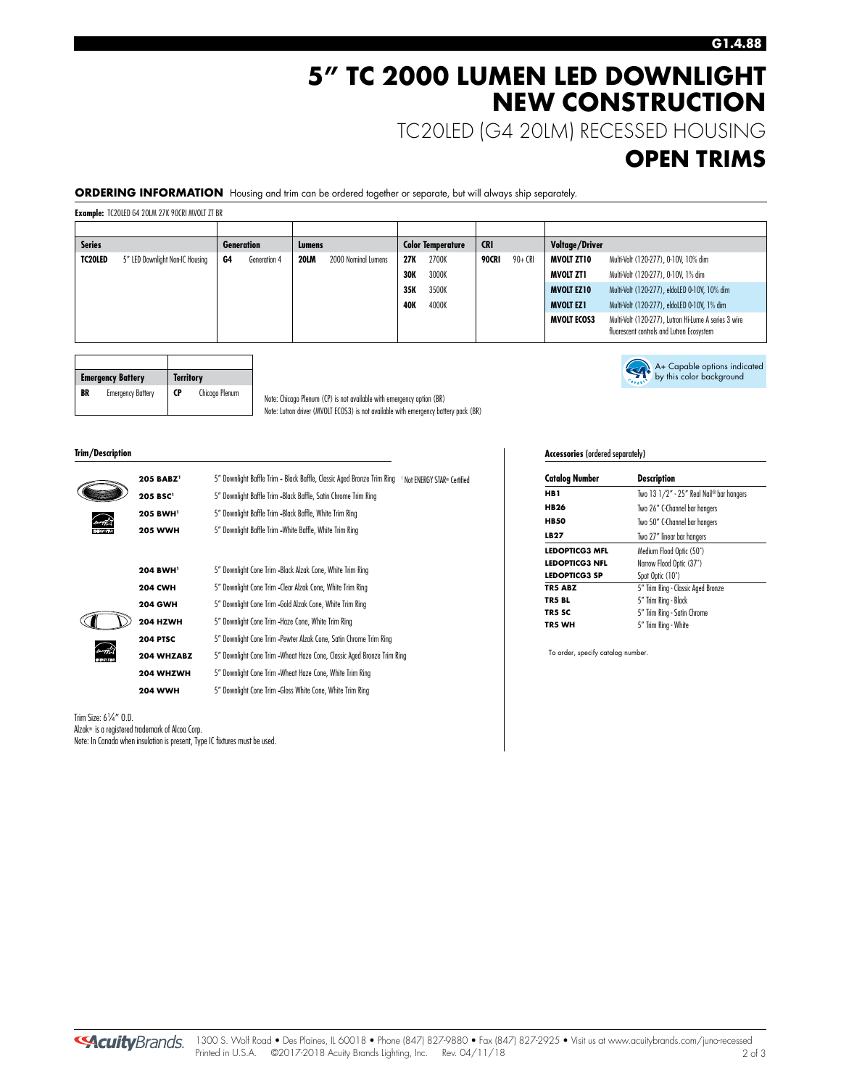## **5" TC 2000 LUMEN LED DOWNLIGHT NEW CONSTRUCTION**

TC20LED (G4 20LM) RECESSED HOUSING

### **OPEN TRIMS**

A+ Capable options indicated by this color background

**ORDERING INFORMATION** Housing and trim can be ordered together or separate, but will always ship separately.

**Example:** TC20LED G4 20LM 27K 90CRI MVOLT ZT BR

| <b>Series</b>  |                                 |    | <b>Generation</b> | Lumens      |                     |            | <b>Color Temperature</b> | <b>CRI</b> |         | Voltage/Driver     |                                                                                                   |
|----------------|---------------------------------|----|-------------------|-------------|---------------------|------------|--------------------------|------------|---------|--------------------|---------------------------------------------------------------------------------------------------|
| <b>TC20LED</b> | 5" LED Downlight Non-IC Housing | G4 | Generation 4      | <b>20LM</b> | 2000 Nominal Lumens | 27K        | 2700K                    | 90CRI      | 90+ CRI | <b>MVOLT ZT10</b>  | Multi-Volt (120-277), 0-10V, 10% dim                                                              |
|                |                                 |    |                   |             |                     | <b>30K</b> | 3000K                    |            |         | MVOLT ZT1          | Multi-Volt (120-277), 0-10V, 1% dim                                                               |
|                |                                 |    |                   |             |                     | 35K        | 3500K                    |            |         | <b>MVOLT EZ10</b>  | Multi-Volt (120-277), eldoLED 0-10V, 10% dim                                                      |
|                |                                 |    |                   |             |                     | 40K        | 4000K                    |            |         | <b>MVOLT EZ1</b>   | Multi-Volt (120-277), eldoLED 0-10V, 1% dim                                                       |
|                |                                 |    |                   |             |                     |            |                          |            |         | <b>MVOLT ECOS3</b> | Multi-Volt (120-277), Lutron Hi-Lume A series 3 wire<br>fluorescent controls and Lutron Ecosystem |

|    | <b>Emergency Battery</b> | <b>Territory</b> |                |  |
|----|--------------------------|------------------|----------------|--|
| BR | <b>Emergency Battery</b> | CP               | Chicago Plenum |  |

Note: Chicago Plenum (CP) is not available with emergency option (BR) Note: Lutron driver (MVOLT ECOS3) is not available with emergency battery pack (BR)

#### **Trim/Description**

|              | 205 BABZ <sup>1</sup> | 5" Downlight Baffle Trim - Black Baffle, Classic Aged Bronze Trim Ring 1 Not ENERGY STAR® Certified |
|--------------|-----------------------|-----------------------------------------------------------------------------------------------------|
|              | 205 BSC <sup>1</sup>  | 5" Downlight Baffle Trim -Black Baffle, Satin Chrome Trim Ring                                      |
|              | 205 BWH <sup>1</sup>  | 5" Downlight Baffle Trim -Black Baffle, White Trim Ring                                             |
| <b>STATE</b> | <b>205 WWH</b>        | 5" Downlight Baffle Trim - White Baffle, White Trim Ring                                            |
|              |                       |                                                                                                     |
|              | 204 BWH <sup>1</sup>  | 5" Downlight Cone Trim - Black Alzak Cone, White Trim Ring                                          |
|              | <b>204 CWH</b>        | 5" Downlight Cone Trim -Clear Alzak Cone, White Trim Ring                                           |
|              | <b>204 GWH</b>        | 5" Downlight Cone Trim -Gold Alzak Cone, White Trim Ring                                            |
|              | 204 HZWH              | 5" Downlight Cone Trim -Haze Cone, White Trim Ring                                                  |
|              | <b>204 PTSC</b>       | 5" Downlight Cone Trim -Pewter Alzak Cone, Satin Chrome Trim Ring                                   |
|              | 204 WHZABZ            | 5" Downlight Cone Trim -Wheat Haze Cone, Classic Aged Bronze Trim Ring                              |
|              | 204 WHZWH             | 5" Downlight Cone Trim - Wheat Haze Cone, White Trim Ring                                           |

**204 WWH** 5" Downlight Cone Trim -Gloss White Cone, White Trim Ring

Trim Size: 6<sup>1</sup> ⁄4" O.D. Alzak® is a registered trademark of Alcoa Corp. Note: In Canada when insulation is present, Type IC fixtures must be used. **Accessories** (ordered separately)

| <b>Catalog Number</b> | Description                              |  |  |
|-----------------------|------------------------------------------|--|--|
| HB 1                  | Two 13 1/2" - 25" Real Nail® bar hangers |  |  |
| <b>HB26</b>           | Two 26" C-Channel bar hangers            |  |  |
| <b>HB50</b>           | Two 50" C-Channel bar hangers            |  |  |
| LB27                  | Two 27" linear bar hangers               |  |  |
| LEDOPTICG3 MFL        | Medium Flood Optic (50°)                 |  |  |
| <b>LEDOPTICG3 NFL</b> | Narrow Flood Optic (37°)                 |  |  |
| <b>LEDOPTICG3 SP</b>  | Spot Optic (10°)                         |  |  |
| <b>TR5 ABZ</b>        | 5" Trim Ring - Classic Aged Bronze       |  |  |
| TR5 BL                | 5" Trim Ring - Black                     |  |  |
| TR5 SC                | 5" Trim Ring - Satin Chrome              |  |  |
| TR5 WH                | 5" Trim Ring - White                     |  |  |
|                       |                                          |  |  |

To order, specify catalog number.